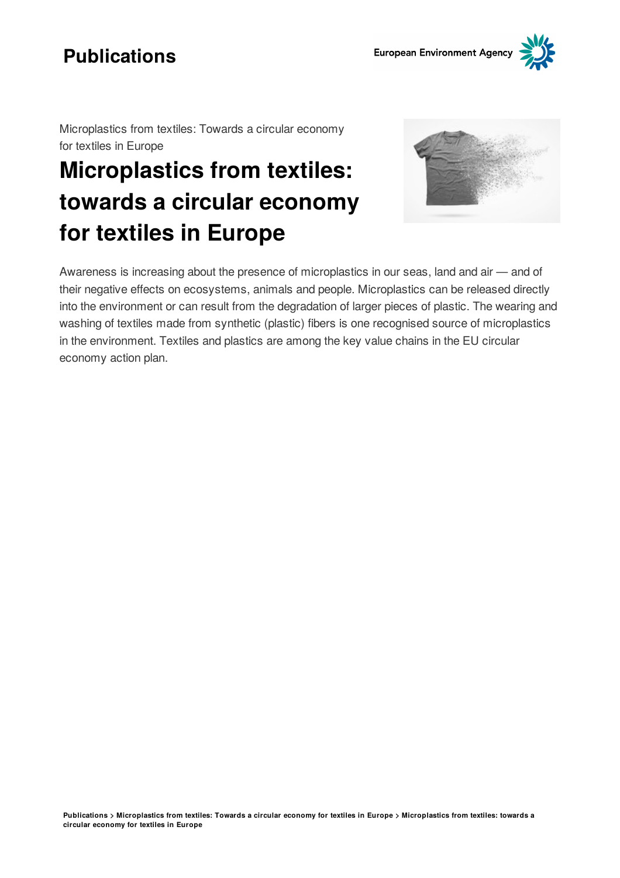

Microplastics from textiles: Towards a circular economy for textiles in Europe

# **Microplastics from textiles: towards a circular economy for textiles in Europe**



Awareness is increasing about the presence of microplastics in our seas, land and air  $-$  and of their negative effects on ecosystems, animals and people. Microplastics can be released directly into the environment or can result from the degradation of larger pieces of plastic. The wearing and washing of textiles made from synthetic (plastic) fibers is one recognised source of microplastics in the environment. Textiles and plastics are among the key value chains in the EU circular economy action plan.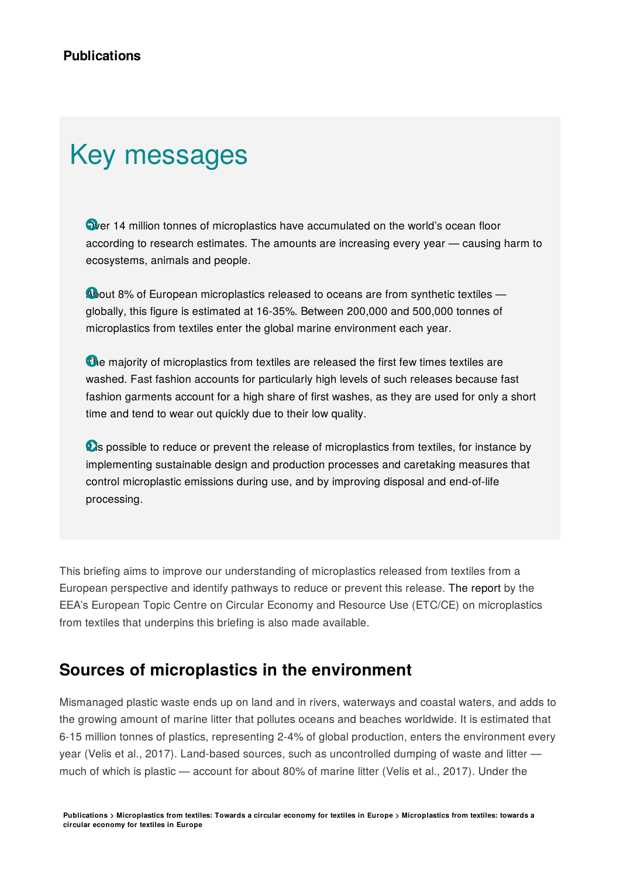# Key messages

 $\bullet$  ver 14 million tonnes of microplastics have accumulated on the world's ocean floor according to research estimates. The amounts are increasing every year – causing harm to ecosystems, animals and people.

About 8% of European microplastics released to oceans are from synthetic textiles globally, this figure is estimated at 16-35%. Between 200,000 and 500,000 tonnes of microplastics from textiles enter the global marine environment each year.

The majority of microplastics from textiles are released the first few times textiles are washed. Fast fashion accounts for particularly high levels of such releases because fast fashion garments account for a high share of first washes, as they are used for only a short time and tend to wear out quickly due to their low quality.

**D**s possible to reduce or prevent the release of microplastics from textiles, for instance by implementing sustainable design and production processes and caretaking measures that control microplastic emissions during use, and by improving disposal and end-of-life processing.

This briefing aims to improve our understanding of microplastics released from textiles from a European perspective and identify pathways to reduce or prevent this release. The [report](https://www.eionet.europa.eu/login?came_from=/etcs/etc-ce/products/etc-ce-products/etc-ce-report-1-2022-microplastic-pollution-from-textile-consumption-in-europe) by the EEA's European Topic Centre on Circular Economy and Resource Use (ETC/CE) on microplastics from textiles that underpins this briefing is also made available.

## **Sources of microplastics in the environment**

Mismanaged plastic waste ends up on land and in rivers, waterways and coastal waters, and adds to the growing amount of marine litter that pollutes oceans and beaches worldwide. It is estimated that 6-15 million tonnes of plastics, representing 2-4% of global production, enters the environment every year (Velis et al., 2017). Land-based sources, such as uncontrolled dumping of waste and litter much of which is plastic  $-$  account for about 80% of marine litter (Velis et al., 2017). Under the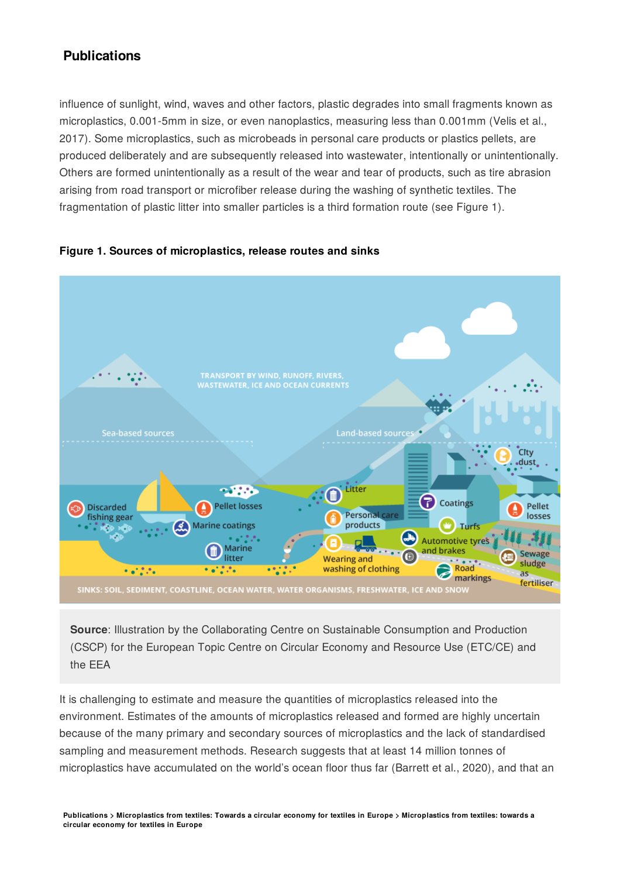influence of sunlight, wind, waves and other factors, plastic degrades into small fragments known as microplastics, 0.001-5mm in size, or even nanoplastics, measuring less than 0.001mm (Velis et al., 2017). Some microplastics, such as microbeads in personal care products or plastics pellets, are produced deliberately and are subsequently released into wastewater, intentionally or unintentionally. Others are formed unintentionally as a result of the wear and tear of products, such as tire abrasion arising from road transport or microfiber release during the washing of synthetic textiles. The fragmentation of plastic litter into smaller particles is a third formation route (see Figure 1).



#### **Figure 1. Sources of microplastics, release routes and sinks**

**Source**: Illustration by the Collaborating Centre on Sustainable Consumption and Production (CSCP) for the European Topic Centre on Circular Economy and Resource Use (ETC/CE) and the EEA

It is challenging to estimate and measure the quantities of microplastics released into the environment. Estimates of the amounts of microplastics released and formed are highly uncertain because of the many primary and secondary sources of microplastics and the lack of standardised sampling and measurement methods. Research suggests that at least 14 million tonnes of microplastics have accumulated on the world's ocean floor thus far (Barrett et al., 2020), and that an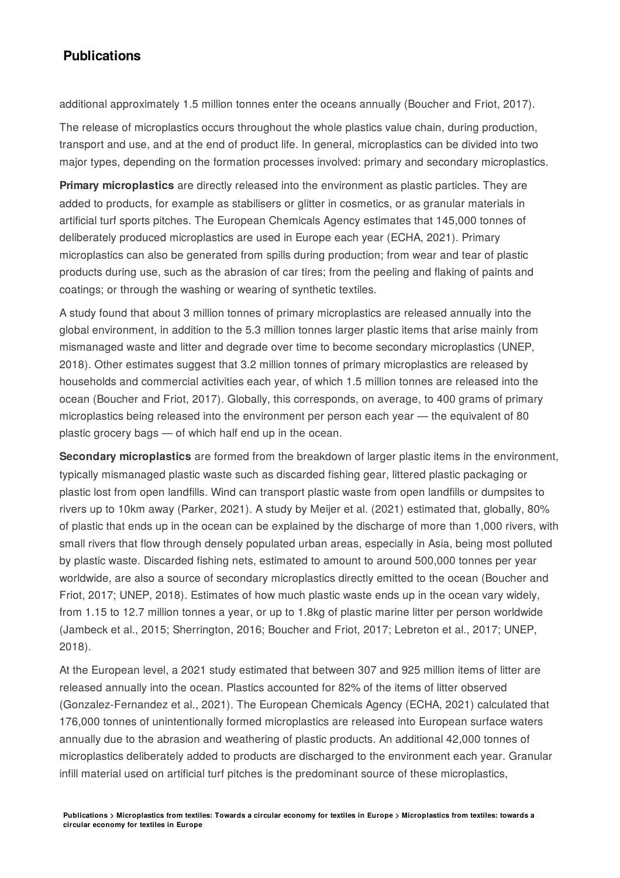additional approximately 1.5 million tonnes enter the oceans annually (Boucher and Friot, 2017).

The release of microplastics occurs throughout the whole plastics value chain, during production, transport and use, and at the end of product life. In general, microplastics can be divided into two major types, depending on the formation processes involved: primary and secondary microplastics.

**Primary microplastics** are directly released into the environment as plastic particles. They are added to products, for example as stabilisers or glitter in cosmetics, or as granular materials in artificial turf sports pitches. The European Chemicals Agency estimates that 145,000 tonnes of deliberately produced microplastics are used in Europe each year (ECHA, 2021). Primary microplastics can also be generated from spills during production; from wear and tear of plastic products during use, such as the abrasion of car tires; from the peeling and flaking of paints and coatings; or through the washing or wearing of synthetic textiles.

A study found that about 3 million tonnes of primary microplastics are released annually into the global environment, in addition to the 5.3 million tonnes larger plastic items that arise mainly from mismanaged waste and litter and degrade over time to become secondary microplastics (UNEP, 2018). Other estimates suggest that 3.2 million tonnes of primary microplastics are released by households and commercial activities each year, of which 1.5 million tonnes are released into the ocean (Boucher and Friot, 2017). Globally, this corresponds, on average, to 400 grams of primary microplastics being released into the environment per person each year  $-$  the equivalent of 80 plastic grocery bags  $-$  of which half end up in the ocean.

**Secondary microplastics** are formed from the breakdown of larger plastic items in the environment, typically mismanaged plastic waste such as discarded fishing gear, littered plastic packaging or plastic lost from open landfills. Wind can transport plastic waste from open landfills or dumpsites to rivers up to 10km away (Parker, 2021). A study by Meijer et al. (2021) estimated that, globally, 80% of plastic that ends up in the ocean can be explained by the discharge of more than 1,000 rivers, with small rivers that flow through densely populated urban areas, especially in Asia, being most polluted by plastic waste. Discarded fishing nets, estimated to amount to around 500,000 tonnes per year worldwide, are also a source of secondary microplastics directly emitted to the ocean (Boucher and Friot, 2017; UNEP, 2018). Estimates of how much plastic waste ends up in the ocean vary widely, from 1.15 to 12.7 million tonnes a year, or up to 1.8kg of plastic marine litter per person worldwide (Jambeck et al., 2015; Sherrington, 2016; Boucher and Friot, 2017; Lebreton et al., 2017; UNEP, 2018).

At the European level, a 2021 study estimated that between 307 and 925 million items of litter are released annually into the ocean. Plastics accounted for 82% of the items of litter observed (Gonzalez-Fernandez et al., 2021). The European Chemicals Agency (ECHA, 2021) calculated that 176,000 tonnes of unintentionally formed microplastics are released into European surface waters annually due to the abrasion and weathering of plastic products. An additional 42,000 tonnes of microplastics deliberately added to products are discharged to the environment each year. Granular infill material used on artificial turf pitches is the predominant source of these microplastics,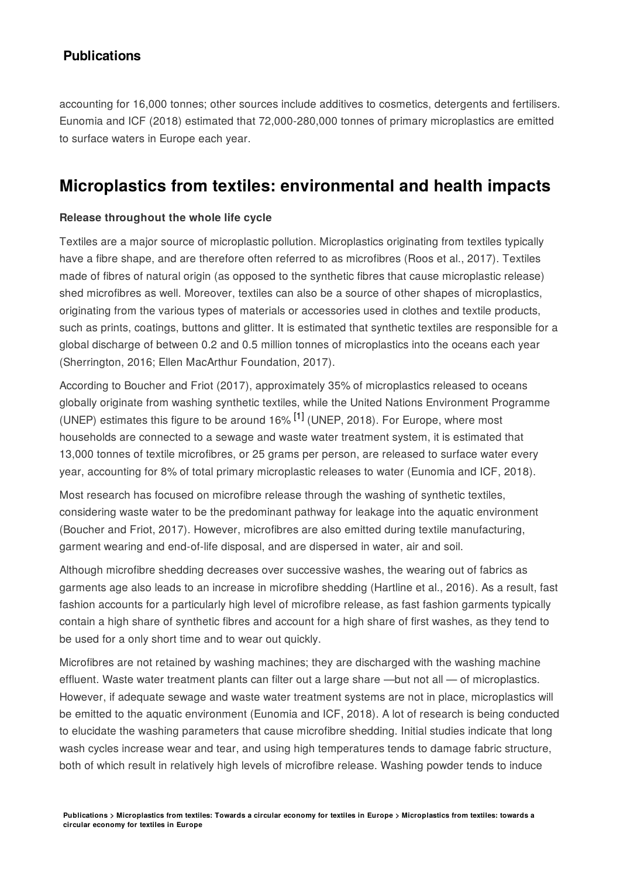accounting for 16,000 tonnes; other sources include additives to cosmetics, detergents and fertilisers. Eunomia and ICF (2018) estimated that 72,000-280,000 tonnes of primary microplastics are emitted to surface waters in Europe each year.

## **Microplastics from textiles: environmental and health impacts**

#### **Release throughout the whole life cycle**

Textiles are a major source of microplastic pollution. Microplastics originating from textiles typically have a fibre shape, and are therefore often referred to as microfibres (Roos et al., 2017). Textiles made of fibres of natural origin (as opposed to the synthetic fibres that cause microplastic release) shed microfibres as well. Moreover, textiles can also be a source of other shapes of microplastics, originating from the various types of materials or accessories used in clothes and textile products, such as prints, coatings, buttons and glitter. It is estimated that synthetic textiles are responsible for a global discharge of between 0.2 and 0.5 million tonnes of microplastics into the oceans each year (Sherrington, 2016; Ellen MacArthur Foundation, 2017).

According to Boucher and Friot (2017), approximately 35% of microplastics released to oceans globally originate from washing synthetic textiles, while the United Nations Environment Programme (UNEP) estimates this figure to be around 16%  $^{[1]}$  (UNEP, 2018). For Europe, where most households are connected to a sewage and waste water treatment system, it is estimated that 13,000 tonnes of textile microfibres, or 25 grams per person, are released to surface water every year, accounting for 8% of total primary microplastic releases to water (Eunomia and ICF, 2018).

Most research has focused on microfibre release through the washing of synthetic textiles, considering waste water to be the predominant pathway for leakage into the aquatic environment (Boucher and Friot, 2017). However, microfibres are also emitted during textile manufacturing, garment wearing and end-of-life disposal, and are dispersed in water, air and soil.

Although microfibre shedding decreases over successive washes, the wearing out of fabrics as garments age also leads to an increase in microfibre shedding (Hartline et al., 2016). As a result, fast fashion accounts for a particularly high level of microfibre release, as fast fashion garments typically contain a high share of synthetic fibres and account for a high share of first washes, as they tend to be used for a only short time and to wear out quickly.

Microfibres are not retained by washing machines; they are discharged with the washing machine effluent. Waste water treatment plants can filter out a large share —but not all — of microplastics. However, if adequate sewage and waste water treatment systems are not in place, microplastics will be emitted to the aquatic environment (Eunomia and ICF, 2018). A lot of research is being conducted to elucidate the washing parameters that cause microfibre shedding. Initial studies indicate that long wash cycles increase wear and tear, and using high temperatures tends to damage fabric structure, both of which result in relatively high levels of microfibre release. Washing powder tends to induce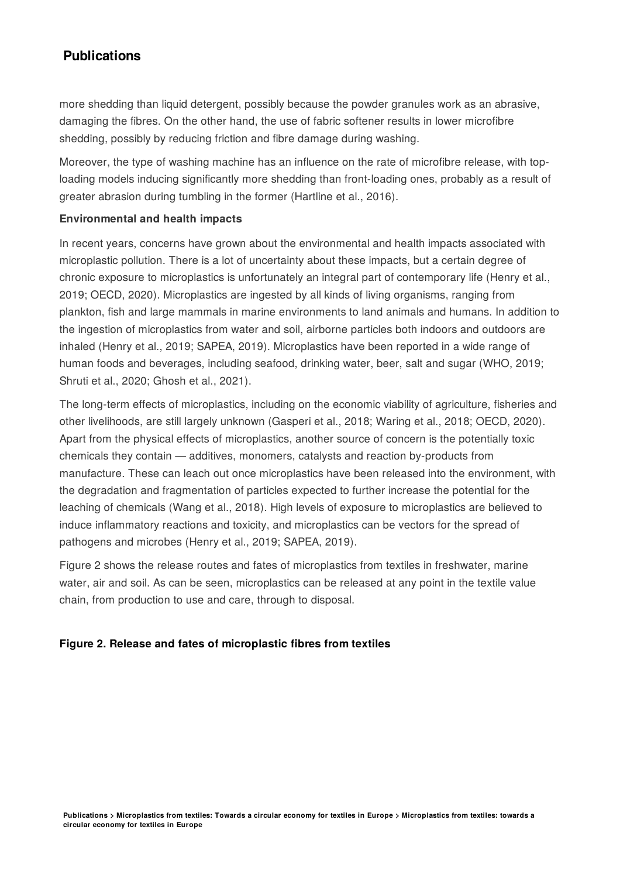more shedding than liquid detergent, possibly because the powder granules work as an abrasive, damaging the fibres. On the other hand, the use of fabric softener results in lower microfibre shedding, possibly by reducing friction and fibre damage during washing.

Moreover, the type of washing machine has an influence on the rate of microfibre release, with toploading models inducing significantly more shedding than front-loading ones, probably as a result of greater abrasion during tumbling in the former (Hartline et al., 2016).

#### **Environmental and health impacts**

In recent years, concerns have grown about the environmental and health impacts associated with microplastic pollution. There is a lot of uncertainty about these impacts, but a certain degree of chronic exposure to microplastics is unfortunately an integral part of contemporary life (Henry et al., 2019; OECD, 2020). Microplastics are ingested by all kinds of living organisms, ranging from plankton, fish and large mammals in marine environments to land animals and humans. In addition to the ingestion of microplastics from water and soil, airborne particles both indoors and outdoors are inhaled (Henry et al., 2019; SAPEA, 2019). Microplastics have been reported in a wide range of human foods and beverages, including seafood, drinking water, beer, salt and sugar (WHO, 2019; Shruti et al., 2020; Ghosh et al., 2021).

The long-term effects of microplastics, including on the economic viability of agriculture, fisheries and other livelihoods, are still largely unknown (Gasperi et al., 2018; Waring et al., 2018; OECD, 2020). Apart from the physical effects of microplastics, another source of concern is the potentially toxic chemicals they contain - additives, monomers, catalysts and reaction by-products from manufacture. These can leach out once microplastics have been released into the environment, with the degradation and fragmentation of particles expected to further increase the potential for the leaching of chemicals (Wang et al., 2018). High levels of exposure to microplastics are believed to induce inflammatory reactions and toxicity, and microplastics can be vectors for the spread of pathogens and microbes (Henry et al., 2019; SAPEA, 2019).

Figure 2 shows the release routes and fates of microplastics from textiles in freshwater, marine water, air and soil. As can be seen, microplastics can be released at any point in the textile value chain, from production to use and care, through to disposal.

#### **Figure 2. Release and fates of microplastic fibres from textiles**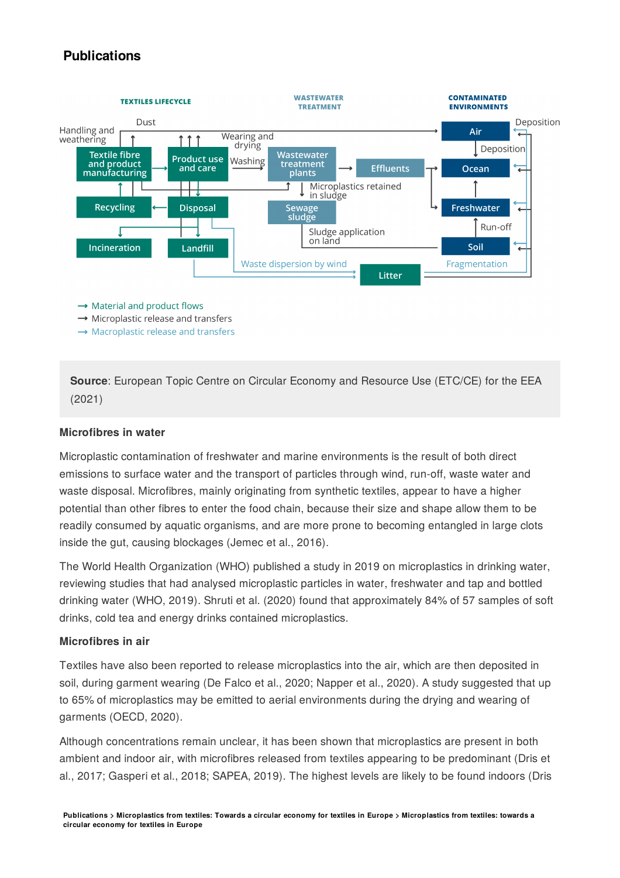

 $\rightarrow$  Material and product flows

 $\rightarrow$  Microplastic release and transfers

 $\rightarrow$  Macroplastic release and transfers

**Source**: European Topic Centre on Circular Economy and Resource Use (ETC/CE) for the EEA (2021)

#### **Microfibres in water**

Microplastic contamination of freshwater and marine environments is the result of both direct emissions to surface water and the transport of particles through wind, run-off, waste water and waste disposal. Microfibres, mainly originating from synthetic textiles, appear to have a higher potential than other fibres to enter the food chain, because their size and shape allow them to be readily consumed by aquatic organisms, and are more prone to becoming entangled in large clots inside the gut, causing blockages (Jemec et al., 2016).

The World Health Organization (WHO) published a study in 2019 on microplastics in drinking water, reviewing studies that had analysed microplastic particles in water, freshwater and tap and bottled drinking water (WHO, 2019). Shruti et al. (2020) found that approximately 84% of 57 samples of soft drinks, cold tea and energy drinks contained microplastics.

#### **Microfibres in air**

Textiles have also been reported to release microplastics into the air, which are then deposited in soil, during garment wearing (De Falco et al., 2020; Napper et al., 2020). A study suggested that up to 65% of microplastics may be emitted to aerial environments during the drying and wearing of garments (OECD, 2020).

Although concentrations remain unclear, it has been shown that microplastics are present in both ambient and indoor air, with microfibres released from textiles appearing to be predominant (Dris et al., 2017; Gasperi et al., 2018; SAPEA, 2019). The highest levels are likely to be found indoors (Dris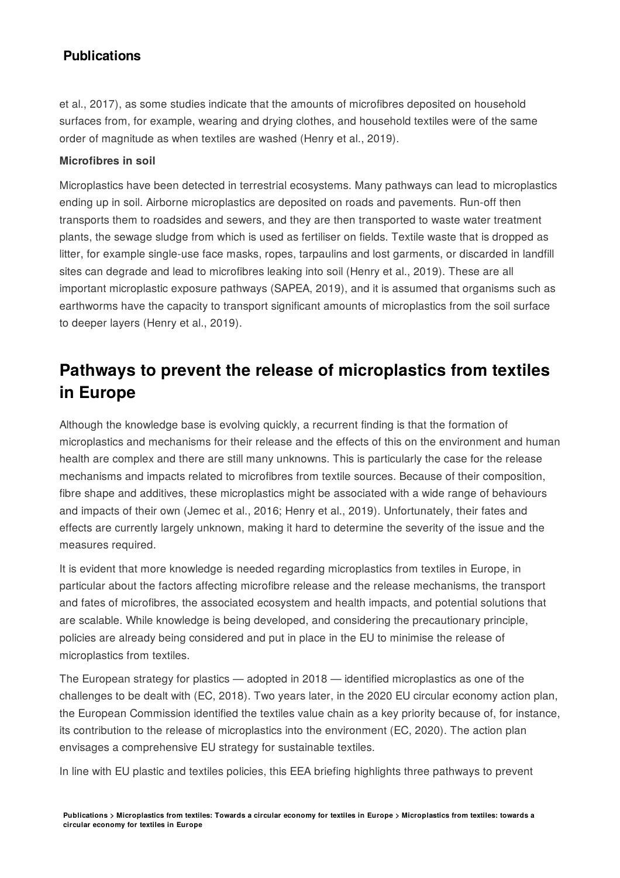et al., 2017), as some studies indicate that the amounts of microfibres deposited on household surfaces from, for example, wearing and drying clothes, and household textiles were of the same order of magnitude as when textiles are washed (Henry et al., 2019).

#### **Microfibres in soil**

Microplastics have been detected in terrestrial ecosystems. Many pathways can lead to microplastics ending up in soil. Airborne microplastics are deposited on roads and pavements. Run-off then transports them to roadsides and sewers, and they are then transported to waste water treatment plants, the sewage sludge from which is used as fertiliser on fields. Textile waste that is dropped as litter, for example single-use face masks, ropes, tarpaulins and lost garments, or discarded in landfill sites can degrade and lead to microfibres leaking into soil (Henry et al., 2019). These are all important microplastic exposure pathways (SAPEA, 2019), and it is assumed that organisms such as earthworms have the capacity to transport significant amounts of microplastics from the soil surface to deeper layers (Henry et al., 2019).

# **Pathways to prevent the release of microplastics from textiles in Europe**

Although the knowledge base is evolving quickly, a recurrent finding is that the formation of microplastics and mechanisms for their release and the effects of this on the environment and human health are complex and there are still many unknowns. This is particularly the case for the release mechanisms and impacts related to microfibres from textile sources. Because of their composition, fibre shape and additives, these microplastics might be associated with a wide range of behaviours and impacts of their own (Jemec et al., 2016; Henry et al., 2019). Unfortunately, their fates and effects are currently largely unknown, making it hard to determine the severity of the issue and the measures required.

It is evident that more knowledge is needed regarding microplastics from textiles in Europe, in particular about the factors affecting microfibre release and the release mechanisms, the transport and fates of microfibres, the associated ecosystem and health impacts, and potential solutions that are scalable. While knowledge is being developed, and considering the precautionary principle, policies are already being considered and put in place in the EU to minimise the release of microplastics from textiles.

The European strategy for plastics  $-$  adopted in 2018  $-$  identified microplastics as one of the challenges to be dealt with (EC, 2018). Two years later, in the 2020 EU circular economy action plan, the European Commission identified the textiles value chain as a key priority because of, for instance, its contribution to the release of microplastics into the environment (EC, 2020). The action plan envisages a comprehensive EU strategy for sustainable textiles.

In line with EU plastic and textiles policies, this EEA briefing highlights three pathways to prevent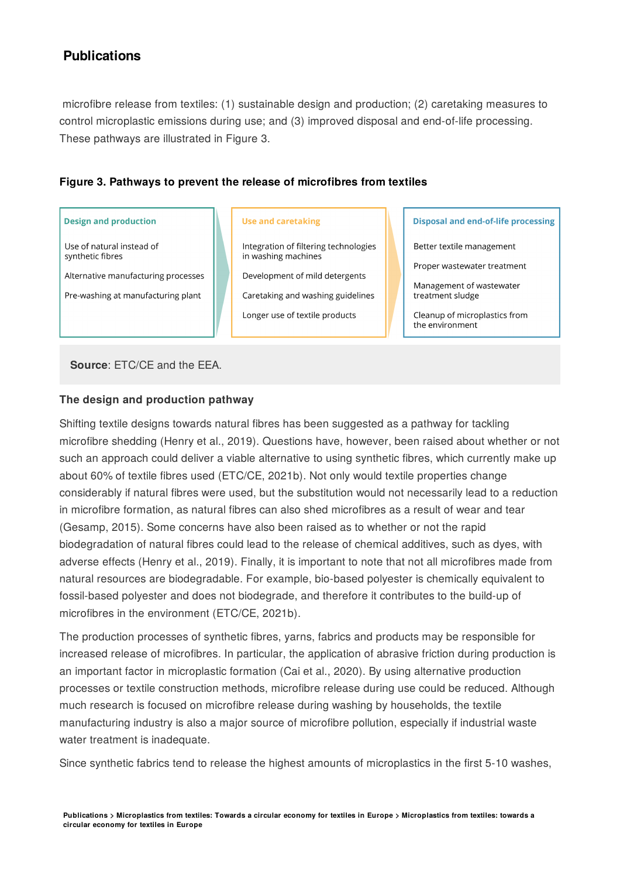microfibre release from textiles: (1) sustainable design and production; (2) caretaking measures to control microplastic emissions during use; and (3) improved disposal and end-of-life processing. These pathways are illustrated in Figure 3.

#### **Figure 3. Pathways to prevent the release of microfibres from textiles**

#### **Design and production**

Use of natural instead of synthetic fibres

Alternative manufacturing processes

Pre-washing at manufacturing plant

#### **Use and caretaking**

Integration of filtering technologies in washing machines

Development of mild detergents

Caretaking and washing guidelines

Longer use of textile products

**Disposal and end-of-life processing** 

Better textile management

Proper wastewater treatment

Management of wastewater treatment sludge

Cleanup of microplastics from the environment

**Source**: ETC/CE and the EEA.

#### **The design and production pathway**

Shifting textile designs towards natural fibres has been suggested as a pathway for tackling microfibre shedding (Henry et al., 2019). Questions have, however, been raised about whether or not such an approach could deliver a viable alternative to using synthetic fibres, which currently make up about 60% of textile fibres used (ETC/CE, 2021b). Not only would textile properties change considerably if natural fibres were used, but the substitution would not necessarily lead to a reduction in microfibre formation, as natural fibres can also shed microfibres as a result of wear and tear (Gesamp, 2015). Some concerns have also been raised as to whether or not the rapid biodegradation of natural fibres could lead to the release of chemical additives, such as dyes, with adverse effects (Henry et al., 2019). Finally, it is important to note that not all microfibres made from natural resources are biodegradable. For example, bio-based polyester is chemically equivalent to fossil-based polyester and does not biodegrade, and therefore it contributes to the build-up of microfibres in the environment (ETC/CE, 2021b).

The production processes of synthetic fibres, yarns, fabrics and products may be responsible for increased release of microfibres. In particular, the application of abrasive friction during production is an important factor in microplastic formation (Cai et al., 2020). By using alternative production processes or textile construction methods, microfibre release during use could be reduced. Although much research is focused on microfibre release during washing by households, the textile manufacturing industry is also a major source of microfibre pollution, especially if industrial waste water treatment is inadequate.

Since synthetic fabrics tend to release the highest amounts of microplastics in the first 5-10 washes,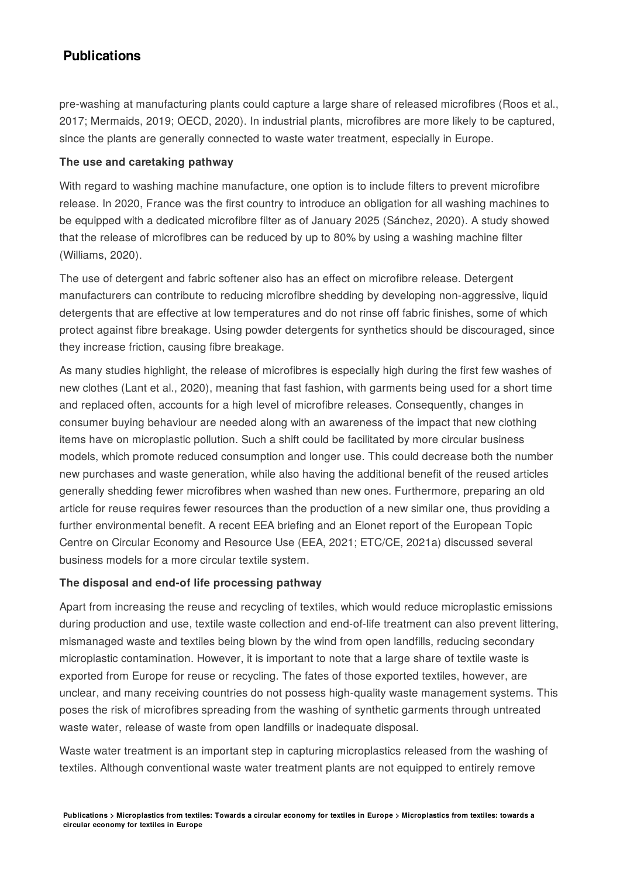pre-washing at manufacturing plants could capture a large share of released microfibres (Roos et al., 2017; Mermaids, 2019; OECD, 2020). In industrial plants, microfibres are more likely to be captured, since the plants are generally connected to waste water treatment, especially in Europe.

#### **The use and caretaking pathway**

With regard to washing machine manufacture, one option is to include filters to prevent microfibre release. In 2020, France was the first country to introduce an obligation for all washing machines to be equipped with a dedicated microfibre filter as of January 2025 (Sánchez, 2020). A study showed that the release of microfibres can be reduced by up to 80% by using a washing machine filter (Williams, 2020).

The use of detergent and fabric softener also has an effect on microfibre release. Detergent manufacturers can contribute to reducing microfibre shedding by developing non-aggressive, liquid detergents that are effective at low temperatures and do not rinse off fabric finishes, some of which protect against fibre breakage. Using powder detergents for synthetics should be discouraged, since they increase friction, causing fibre breakage.

As many studies highlight, the release of microfibres is especially high during the first few washes of new clothes (Lant et al., 2020), meaning that fast fashion, with garments being used for a short time and replaced often, accounts for a high level of microfibre releases. Consequently, changes in consumer buying behaviour are needed along with an awareness of the impact that new clothing items have on microplastic pollution. Such a shift could be facilitated by more circular business models, which promote reduced consumption and longer use. This could decrease both the number new purchases and waste generation, while also having the additional benefit of the reused articles generally shedding fewer microfibres when washed than new ones. Furthermore, preparing an old article for reuse requires fewer resources than the production of a new similar one, thus providing a further environmental benefit. A recent EEA briefing and an Eionet report of the European Topic Centre on Circular Economy and Resource Use (EEA, 2021; ETC/CE, 2021a) discussed several business models for a more circular textile system.

#### **The disposal and end-of life processing pathway**

Apart from increasing the reuse and recycling of textiles, which would reduce microplastic emissions during production and use, textile waste collection and end-of-life treatment can also prevent littering, mismanaged waste and textiles being blown by the wind from open landfills, reducing secondary microplastic contamination. However, it is important to note that a large share of textile waste is exported from Europe for reuse or recycling. The fates of those exported textiles, however, are unclear, and many receiving countries do not possess high-quality waste management systems. This poses the risk of microfibres spreading from the washing of synthetic garments through untreated waste water, release of waste from open landfills or inadequate disposal.

Waste water treatment is an important step in capturing microplastics released from the washing of textiles. Although conventional waste water treatment plants are not equipped to entirely remove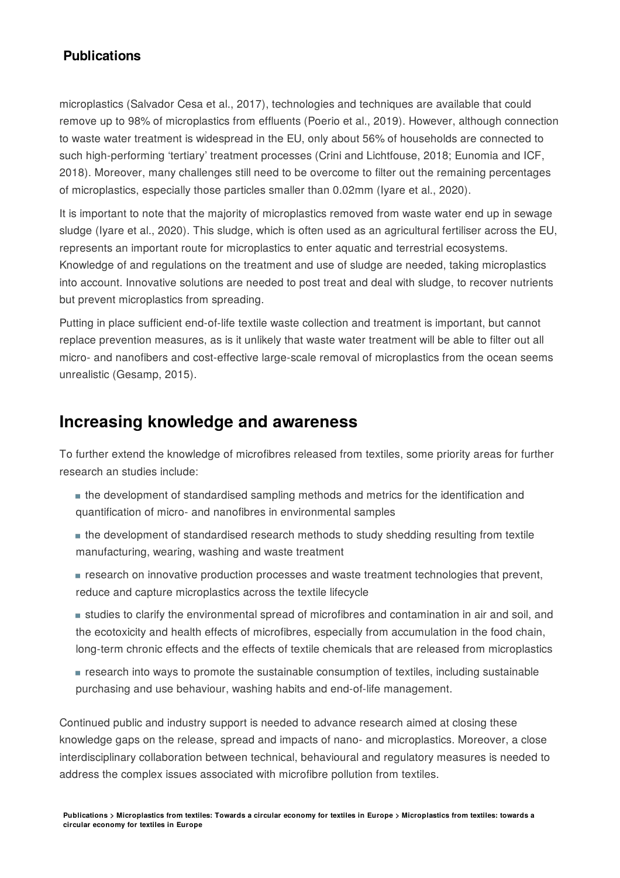microplastics (Salvador Cesa et al., 2017), technologies and techniques are available that could remove up to 98% of microplastics from effluents (Poerio et al., 2019). However, although connection to waste water treatment is widespread in the EU, only about 56% of households are connected to such high-performing 'tertiary' treatment processes (Crini and Lichtfouse, 2018; Eunomia and ICF, 2018). Moreover, many challenges still need to be overcome to filter out the remaining percentages of microplastics, especially those particles smaller than 0.02mm (Iyare et al., 2020).

It is important to note that the majority of microplastics removed from waste water end up in sewage sludge (Iyare et al., 2020). This sludge, which is often used as an agricultural fertiliser across the EU, represents an important route for microplastics to enter aquatic and terrestrial ecosystems. Knowledge of and regulations on the treatment and use of sludge are needed, taking microplastics into account. Innovative solutions are needed to post treat and deal with sludge, to recover nutrients but prevent microplastics from spreading.

Putting in place sufficient end-of-life textile waste collection and treatment is important, but cannot replace prevention measures, as is it unlikely that waste water treatment will be able to filter out all micro- and nanofibers and cost-effective large-scale removal of microplastics from the ocean seems unrealistic (Gesamp, 2015).

## **Increasing knowledge and awareness**

To further extend the knowledge of microfibres released from textiles, some priority areas for further research an studies include:

- the development of standardised sampling methods and metrics for the identification and quantification of micro- and nanofibres in environmental samples
- the development of standardised research methods to study shedding resulting from textile manufacturing, wearing, washing and waste treatment
- research on innovative production processes and waste treatment technologies that prevent, reduce and capture microplastics across the textile lifecycle
- studies to clarify the environmental spread of microfibres and contamination in air and soil, and the ecotoxicity and health effects of microfibres, especially from accumulation in the food chain, long-term chronic effects and the effects of textile chemicals that are released from microplastics
- research into ways to promote the sustainable consumption of textiles, including sustainable purchasing and use behaviour, washing habits and end-of-life management.

Continued public and industry support is needed to advance research aimed at closing these knowledge gaps on the release, spread and impacts of nano- and microplastics. Moreover, a close interdisciplinary collaboration between technical, behavioural and regulatory measures is needed to address the complex issues associated with microfibre pollution from textiles.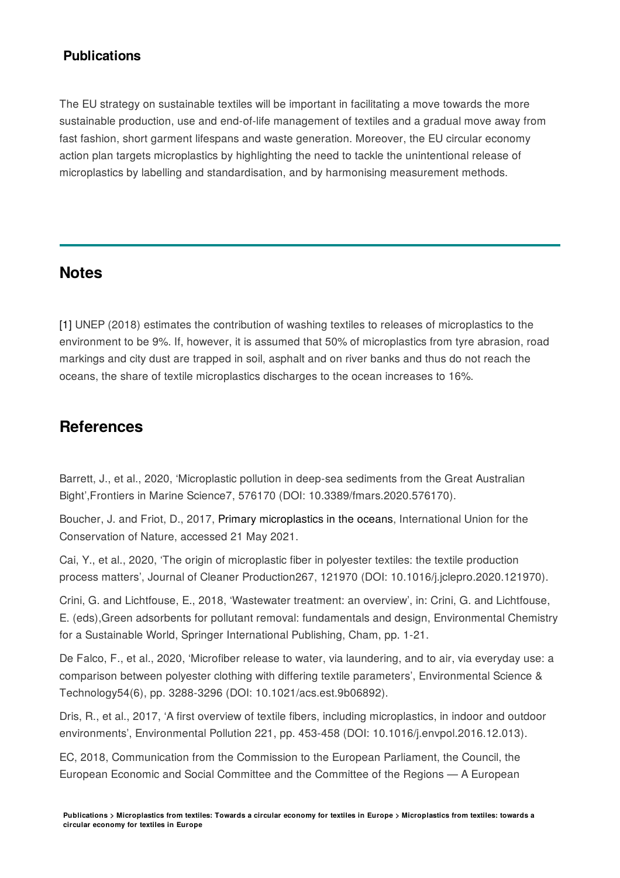The EU strategy on sustainable textiles will be important in facilitating a move towards the more sustainable production, use and end-of-life management of textiles and a gradual move away from fast fashion, short garment lifespans and waste generation. Moreover, the EU circular economy action plan targets microplastics by highlighting the need to tackle the unintentional release of microplastics by labelling and standardisation, and by harmonising measurement methods.

## **Notes**

[1] UNEP (2018) estimates the contribution of washing textiles to releases of microplastics to the environment to be 9%. If, however, it is assumed that 50% of microplastics from tyre abrasion, road markings and city dust are trapped in soil, asphalt and on river banks and thus do not reach the oceans, the share of textile microplastics discharges to the ocean increases to 16%.

## **References**

Barrett, J., et al., 2020, 'Microplastic pollution in deep-sea sediments from the Great Australian Bight', Frontiers in Marine Science7, 576170 (DOI: 10.3389/fmars. 2020.576170).

Boucher, J. and Friot, D., 2017, Primary [microplastics](https://www.iucn.org/content/primary-microplastics-oceans) in the oceans, International Union for the Conservation of Nature, accessed 21 May 2021.

Cai, Y., et al., 2020, The origin of microplastic fiber in polyester textiles: the textile production process matters', Journal of Cleaner Production267, 121970 (DOI: 10.1016/j.jclepro.2020.121970).

Crini, G. and Lichtfouse, E., 2018, Wastewater treatment: an overview, in: Crini, G. and Lichtfouse, E. (eds),Green adsorbents for pollutant removal: fundamentals and design, Environmental Chemistry for a Sustainable World, Springer International Publishing, Cham, pp. 1-21.

De Falco, F., et al., 2020, Microfiber release to water, via laundering, and to air, via everyday use: a comparison between polyester clothing with differing textile parameters', Environmental Science & Technology54(6), pp. 3288-3296 (DOI: 10.1021/acs.est.9b06892).

Dris, R., et al., 2017, 'A first overview of textile fibers, including microplastics, in indoor and outdoor environments', Environmental Pollution 221, pp. 453-458 (DOI: 10.1016/j.envpol.2016.12.013).

EC, 2018, Communication from the Commission to the European Parliament, the Council, the European Economic and Social Committee and the Committee of the Regions - A European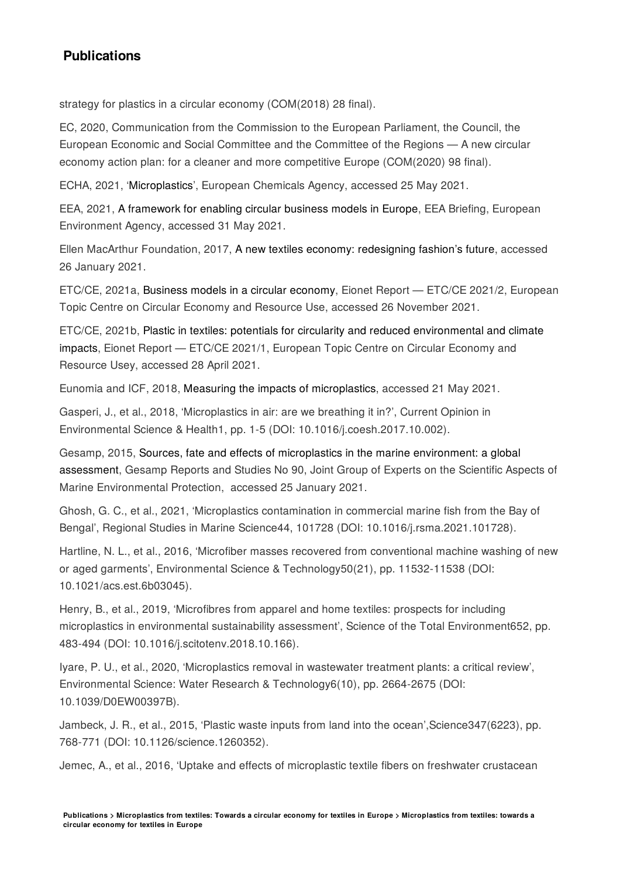strategy for plastics in a circular economy (COM(2018) 28 final).

EC, 2020, Communication from the Commission to the European Parliament, the Council, the European Economic and Social Committee and the Committee of the Regions - A new circular economy action plan: for a cleaner and more competitive Europe (COM(2020) 98 final).

ECHA, 2021, '[Microplastics](https://echa.europa.eu/hot-topics/microplastics)', European Chemicals Agency, accessed 25 May 2021.

EEA, 2021, A [framework](https://www.eea.europa.eu/publications/a-framework-for-enabling-circular) for enabling circular business models in Europe, EEA Briefing, European Environment Agency, accessed 31 May 2021.

Ellen MacArthur Foundation, 2017, A new textiles economy: [redesigning](https://www.ellenmacarthurfoundation.org/publications/a-new-textiles-economy-redesigning-fashions-future) fashion's future, accessed 26 January 2021.

ETC/CE, 2021a, Business models in a circular [economy,](https://www.eionet.europa.eu/etcs/etc-wmge/products/business-models-in-a-circular-economy) Eionet Report - ETC/CE 2021/2, European Topic Centre on Circular Economy and Resource Use, accessed 26 November 2021.

ETC/CE, 2021b, Plastic in textiles: potentials for circularity and reduced [environmental](https://www.eionet.europa.eu/etcs/etc-wmge/products/plastic-in-textiles-potentials-for-circularity-and-reduced-environmental-and-climate-impacts) and climate impacts, Eionet Report - ETC/CE 2021/1, European Topic Centre on Circular Economy and Resource Usey, accessed 28 April 2021.

Eunomia and ICF, 2018, Measuring the impacts of [microplastics,](https://www.eunomia.co.uk/case_study/measuring-impacts-of-microplastics/) accessed 21 May 2021.

Gasperi, J., et al., 2018, Microplastics in air: are we breathing it in?, Current Opinion in Environmental Science & Health1, pp. 1-5 (DOI: 10.1016/j.coesh.2017.10.002).

Gesamp, 2015, Sources, fate and effects of microplastics in the marine [environment:](http://www.gesamp.org/publications/reports-and-studies-no-90) a global assessment, Gesamp Reports and Studies No 90, Joint Group of Experts on the Scientific Aspects of Marine Environmental Protection, accessed 25 January 2021.

Ghosh, G. C., et al., 2021, Microplastics contamination in commercial marine fish from the Bay of Bengal, Regional Studies in Marine Science44, 101728 (DOI: 10.1016/j.rsma.2021.101728).

Hartline, N. L., et al., 2016, 'Microfiber masses recovered from conventional machine washing of new or aged garments', Environmental Science & Technology50(21), pp. 11532-11538 (DOI: 10.1021/acs.est.6b03045).

Henry, B., et al., 2019, 'Microfibres from apparel and home textiles: prospects for including microplastics in environmental sustainability assessment', Science of the Total Environment652, pp. 483-494 (DOI: 10.1016/j.scitotenv.2018.10.166).

Iyare, P. U., et al., 2020, 'Microplastics removal in wastewater treatment plants: a critical review', Environmental Science: Water Research & Technology6(10), pp. 2664-2675 (DOI: 10.1039/D0EW00397B).

Jambeck, J. R., et al., 2015. 'Plastic waste inputs from land into the ocean'. Science 347(6223), pp. 768-771 (DOI: 10.1126/science.1260352).

Jemec, A., et al., 2016, Uptake and effects of microplastic textile fibers on freshwater crustacean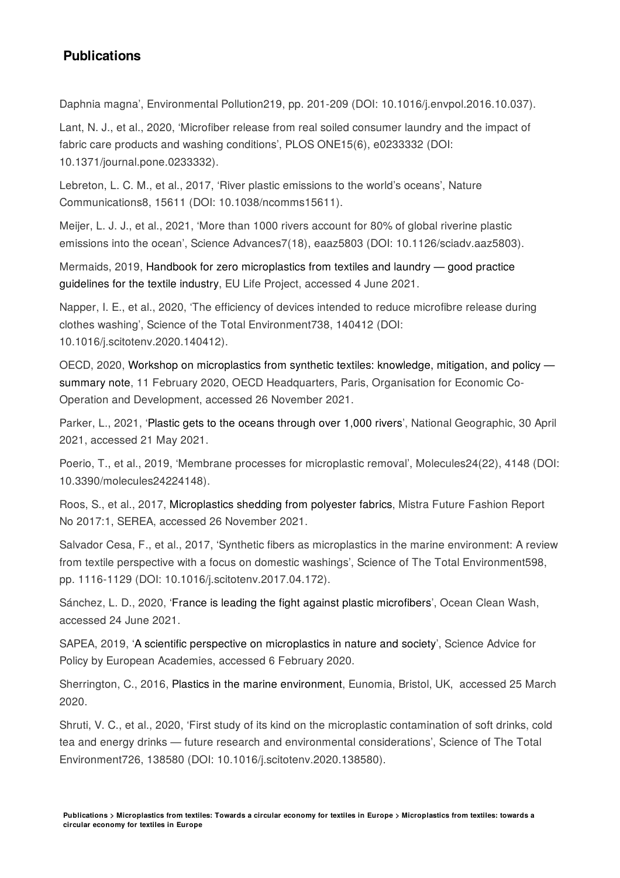Daphnia magna', Environmental Pollution219, pp. 201-209 (DOI: 10.1016/j.envpol.2016.10.037).

Lant, N. J., et al., 2020, 'Microfiber release from real soiled consumer laundry and the impact of fabric care products and washing conditions', PLOS ONE15(6), e0233332 (DOI: 10.1371/journal.pone.0233332).

Lebreton, L. C. M., et al., 2017, 'River plastic emissions to the world's oceans', Nature Communications8, 15611 (DOI: 10.1038/ncomms15611).

Meijer, L. J. J., et al., 2021, More than 1000 rivers account for 80% of global riverine plastic emissions into the ocean', Science Advances7(18), eaaz5803 (DOI: 10.1126/sciadv.aaz5803).

Mermaids, 2019, Handbook for zero [microplastics](https://www.oceancleanwash.org/wp-content/uploads/2019/08/Handbook-for-zero-microplastics-from-textiles-and-laundry-developed.pdf) from textiles and laundry  $-$  good practice guidelines for the textile industry, EU Life Project, accessed 4 June 2021.

Napper, I. E., et al., 2020, The efficiency of devices intended to reduce microfibre release during clothes washing', Science of the Total Environment738, 140412 (DOI: 10.1016/j.scitotenv.2020.140412).

OECD, 2020, Workshop on microplastics from synthetic textiles: knowledge, mitigation, and policy summary note, 11 February 2020, OECD [Headquarters,](https://www.oecd.org/water/Workshop_MP_Textile_Summary_Note_FINAL.pdf) Paris, Organisation for Economic Co-Operation and Development, accessed 26 November 2021.

Parker, L., 2021, 'Plastic gets to the oceans [through](https://www.nationalgeographic.com/environment/article/plastic-gets-to-oceans-through-over-1000-rivers) over 1,000 rivers', National Geographic, 30 April 2021, accessed 21 May 2021.

Poerio, T., et al., 2019, 'Membrane processes for microplastic removal', Molecules24(22), 4148 (DOI: 10.3390/molecules24224148).

Roos, S., et al., 2017, [Microplastics](http://mistrafuturefashion.com/wp-content/uploads/2017/06/MFF-Report-Microplastics.pdf) shedding from polyester fabrics, Mistra Future Fashion Report No 2017:1, SEREA, accessed 26 November 2021.

Salvador Cesa, F., et al., 2017, Synthetic fibers as microplastics in the marine environment: A review from textile perspective with a focus on domestic washings', Science of The Total Environment598, pp. 1116-1129 (DOI: 10.1016/j.scitotenv.2017.04.172).

Sánchez, L. D., 2020, 'France is leading the fight against plastic [microfibers](https://www.oceancleanwash.org/2020/02/france-is-leading-the-fight-against-plastic-microfibers/)', Ocean Clean Wash, accessed 24 June 2021.

SAPEA, 2019, 'A scientific perspective on [microplastics](https://www.sapea.info/topics/microplastics/) in nature and society', Science Advice for Policy by European Academies, accessed 6 February 2020.

Sherrington, C., 2016, Plastics in the marine [environment](https://www.eunomia.co.uk/reports-tools/plastics-in-the-marine-environment/), Eunomia, Bristol, UK, accessed 25 March 2020.

Shruti, V. C., et al., 2020. 'First study of its kind on the microplastic contamination of soft drinks, cold tea and energy drinks — future research and environmental considerations'. Science of The Total Environment726, 138580 (DOI: 10.1016/j.scitotenv.2020.138580).